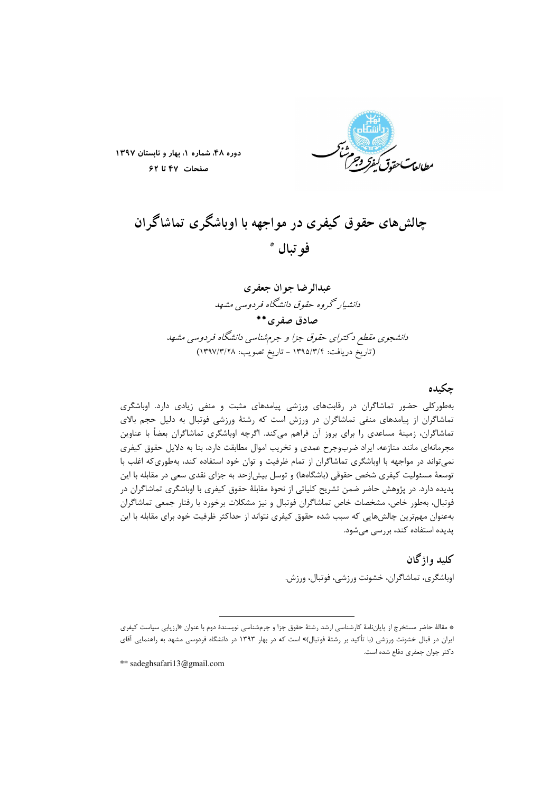

دوره ۴۸، شماره ١، بهار و تابستان ١٣٩٧ صفحات ۴۷ تا ۶۲

# چالشهای حقوق کیفری در مواجهه با اوباشگری تماشاگران فو تيال \*

عبدالہ ضا جو ان حعفہ ی دانشیار گروه حقوق دانشگاه فردوسی مشهد صادق صفرى\*\* دانشجوی مقطع د کترای حقوق جزا و جرمشناسی دانشگاه فردوسی مشهد (تاريخ دريافت: ١٣٩٥/٣/٢ - تاريخ تصويب: ١٣٩٧/٣/٢٨)

### حكىدە

بهطورکلی حضور تماشاگران در رقابتهای ورزشی پیامدهای مثبت و منفی زیادی دارد. اوباشگری تماشاگران از پیامدهای منفی تماشاگران در ورزش است که رشتهٔ ورزشی فوتبال به دلیل حجم بالای تماشاگران، زمینهٔ مساعدی را برای بروز آن فراهم میکند. اگرچه اوباشگری تماشاگران بعضاً با عناوین مجرمانهای مانند منازعه، ایراد ضربوجرح عمدی و تخریب اموال مطابقت دارد، بنا به دلایل حقوق کیفری نمی تواند در مواجهه با اوباشگری تماشاگران از تمام ظرفیت و توان خود استفاده کند، بهطوری که اغلب با توسعهٔ مسئولیت کیفری شخص حقوقی (باشگاهها) و توسل بیش|زحد به جزای نقدی سعی در مقابله با این پدیده دارد. در پژوهش حاضر ضمن تشریح کلیاتی از نحوهٔ مقابلهٔ حقوق کیفری با اوباشگری تماشاگران در فوتبال، بهطور خاص، مشخصات خاص تماشاگران فوتبال و نیز مشکلات برخورد با رفتار جمعی تماشاگران بهعنوان مهم ترین چالشهایی که سبب شده حقوق کیفری نتواند از حداکثر ظرفیت خود برای مقابله با این پدیده استفاده کند، بررسی میشود.

> كلىد واژگان اوباشگری، تماشاگران، خشونت ورزشی، فوتبال، ورزش.

\*\* sadeghsafari13@gmail.com

<sup>\*</sup> مقالهٔ حاضر مستخرج از پایاننامهٔ کارشناسی ارشد رشتهٔ حقوق جزا و جرمشناسی نویسندهٔ دوم با عنوان «ارزیابی سیاست کیفری ایران در قبال خشونت ورزشی (با تأکید بر رشتهٔ فوتبال)» است که در بهار ۱۳۹۳ در دانشگاه فردوسی مشهد به راهنمایی آقای دكتر جوان جعفري دفاع شده است.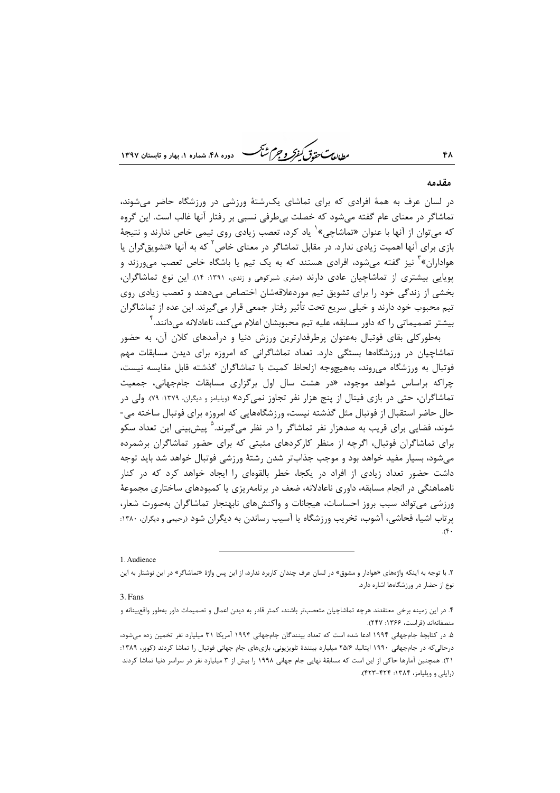*طابع<sup>ت</sup> حقوق كيفركر وجرم شبح* 

#### مقدمه

۴٨

در لسان عرف به همهٔ افرادی که برای تماشای یک شتهٔ ورزشی در ورزشگاه حاضر می شوند، تماشاگر در معنای عام گفته میشود که خصلت بیطرفی نسبی بر رفتار آنها غالب است. این گروه که می توان از آنها با عنوان «تماشاچی»<sup>۱</sup> یاد کرد، تعصب زیادی روی تیمی خاص ندارند و نتیجهٔ بازی برای آنها اهمیت زیادی ندارد. در مقابل تماشاگر در معنای خاص<sup>۲</sup> که به آنها «تشویق *گ*ران یا هواداران»<sup>۲</sup> نیز گفته میشود، افرادی هستند که به یک تیم یا باشگاه خاص تعصب می<sub>9</sub>رزند و یوپایی بیشتری از تماشاچیان عادی دارند (صفری شیرکوهی و زندی، ۱۳۹۱: ۱۴). این نوع تماشاگران، بخشی از زندگی خود را برای تشویق تیم موردعلاقهشان اختصاص میدهند و تعصب زیادی روی تیم محبوب خود دارند و خیلی سریع تحت تأثیر رفتار جمعی قرار میگیرند. این عده از تماشاگران بیشتر تصمیماتی را که داور مسابقه، علیه تیم محبوبشان اعلام می کند، ناعادلانه میدانند. <sup>۲</sup>

بهطورکلی بقای فوتبال بهعنوان پرطرفدارترین ورزش دنیا و درآمدهای کلان آن، به حضور تماشاچیان در ورزشگاهها بستگی دارد. تعداد تماشاگرانی که امروزه برای دیدن مسابقات مهم فوتبال به ورزشگاه می وند، بههیچوجه ازلحاظ کمیت با تماشاگران گذشته قابل مقایسه نیست، چراکه براساس شواهد موجود، «د<sub>ر</sub> هشت سال اول برگزاری مسابقات جامجهانی، جمعیت تماشاگران، حتی در بازی فینال از پنج هزار نفر تجاوز نمی کرد» (ویلیامز و دیگران، ۱۳۷۹: ۷۹). ولی در حال حاضر استقبال از فوتبال مثل گذشته نیست، ورزشگاههایی که امروزه برای فوتبال ساخته می-شوند، فضایی برای قریب به صدهزار نفر تماشاگر را در نظر میگیرند.<sup>۵</sup> پیش بینی این تعداد سکو برای تماشاگران فوتبال، اگرچه از منظر کارکردهای مثبتی که برای حضور تماشاگران برشمرده می شود، بسیار مفید خواهد بود و موجب جذابتر شدن رشتهٔ ورزشی فوتبال خواهد شد باید توجه داشت حضور تعداد زیادی از افراد در یکجا، خطر بالقوهای را ایجاد خواهد کرد که در کنار ناهماهنگی در انجام مسابقه، داوری ناعادلانه، ضعف در برنامهریزی یا کمبودهای ساختاری مجموعهٔ ورزشی می تواند سبب بروز احساسات، هیجانات و واکنشهای نابهنجار تماشاگران بهصورت شعار، پرتاب اشیا، فحاشی، آشوب، تخریب ورزشگاه یا آسیب رساندن به دیگران شود (رحیمی و دیگران، ۱۳۸۰:  $(f^{\bullet}$ 

1. Audience

۲. با توجه به اینکه واژههای «هوادار و مشوق» در لسان عرف چندان کاربرد ندارد، از این پس واژهٔ «تماشاگر» در این نوشتار به این نوع از حضار در ورزشگاهها اشاره دارد.

<sup>3.</sup> Fans

۴. در این زمینه برخی معتقدند هرچه تماشاچیان متعصب تر باشند، کمتر قادر به دیدن اعمال و تصمیمات داور بهطور واقع بنانه و منصفانهاند (فراست، ۱۳۶۶: ۲۴۷).

۵. در کتابچهٔ جامجهانی ۱۹۹۴ ادعا شده است که تعداد بینندگان جامجهانی ۱۹۹۴ آمریکا ۳۱ میلیارد نفر تخمین زده میشود، درحالی که در جامجهانی ۱۹۹۰ ایتالیا، ۲۵/۶ میلیارد بینندهٔ تلویزیونی، بازیهای جام جهانی فوتبال را تماشا کردند (کوپر، ۱۳۸۹: ٢١). همچنین آمارها حاکی از این است که مسابقهٔ نهایی جام جهانی ١٩٩٨ را بیش از ٣ میلیارد نفر در سراسر دنیا تماشا کردند (رایلی و ویلیامز، ۱۳۸۴: ۴۲۲-۴۲۳).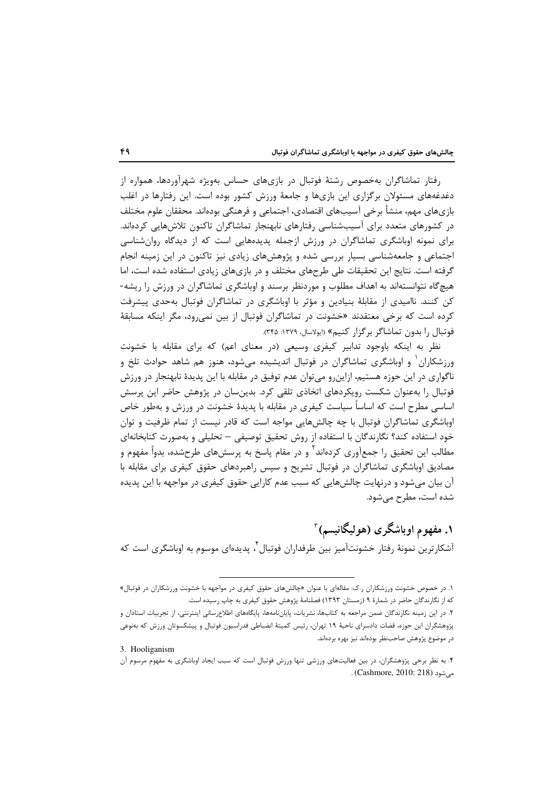رفتار تماشاگران بهخصوص رشتهٔ فوتبال در بازیهای حساس بهویژه شهرآوردها، همواره از دغدغههای مسئولان برگزاری این بازیها و جامعهٔ ورزش کشور بوده است. این رفتارها در اغلب بازیهای مهم، منشأ برخی آسیبهای اقتصادی، اجتماعی و فرهنگی بودهاند. محققان علوم مختلف در کشورهای متعدد برای آسیبشناسی رفتارهای نابهنجار تماشاگران تاکنون تلاشهایی کردهاند. برای نمونه اوباشگری تماشاگران در ورزش ازجمله پدیدههایی است که از دیدگاه روانشناسی اجتماعی و جامعهشناسی بسیار بررسی شده و پژوهشهای زیادی نیز تاکنون در این زمینه انجام گرفته است. نتایج این تحقیقات طی طرحهای مختلف و در بازیهای زیادی استفاده شده است، اما هیچگاه نتوانستهاند به اهداف مطلوب و موردنظر برسند و اوباشگری تماشاگران در ورزش را ریشه-کن کنند. ناامیدی از مقابلهٔ بنیادین و مؤثر با اوباشگری در تماشاگران فوتبال بهحدی پیشرفت کرده است که برخی معتقدند «خشونت در تماشاگران فوتبال از بین نمی رود، مگر اینکه مسابقهٔ فوتبال ,ا بدون تماشاگر برگزار كنيم» «پولاسال، ١٣٧٩: ٣۴۵).

نظر به اینکه باوجود تدابیر کیفری وسیعی (در معنای اعم) که برای مقابله با خشونت ورزشکاران و اوباشگری تماشاگران در فوتبال اندیشیده میشود، هنوز هم شاهد حوادث تلخ و ناگواري در اين حوزه هستيم، ازاين٫و مي توان عدم توفيق در مقابله با اين پديدهٔ نابهنجا٫ در ورزش فوتبال را بهعنوان شکست رویکردهای اتخاذی تلقی کرد. بدینسان در پژوهش حاضر این پرسش اساسی مطرح است که اساساً سیاست کیفری در مقابله با پدیدهٔ خشونت در ورزش و بهطور خاص اوباشگری تماشاگران فوتبال با چه چالشهایی مواجه است که قادر نیست از تمام ظرفیت و توان خود استفاده کند؟ نگارندگان با استفاده از روش تحقیق توصیفی — تحلیلی و بهصورت کتابخانهای مطالب این تحقیق را جمعآوری کردهاند<sup>۲</sup> و در مقام پاسخ به پرسشهای طرحشده، بدواً مفهوم و مصادیق اوباشگری تماشاگران در فوتبال تشریح و سپس راهبردهای حقوق کیفری برای مقابله با آن بیان می شود و درنهایت چالش هایی که سبب عدم کارایی حقوق کیفری در مواجهه با این پدیده شدہ است، مطرح مے شود.

۱. مفهو م اوباشگر ي (هو ليگانيسم) آ آشکارترین نمونهٔ رفتار خشونتآمیز بین طرفداران فوتبال ٌ، پدیدهای موسوم به اوباشگری است که

3. Hooliganism

۱. در خصوص خشونت ورزشکاران ر.ک: مقالهای با عنوان «چالشهای حقوق کیفری در مواجهه با خشونت ورزشکاران در فوتبال» که از نگارندگان حاضر در شمارهٔ ۹ (زمستان ۱۳۹۳) فصلنامهٔ پژوهش حقوق کیفری به چاپ رسیده است.

۲. در این زمینه نگارندگان ضمن مراجعه به کتابها، نشریات، پایاننامهها، پایگاههای اطلاعرسانی اینترنتی، از تجربیات استادان و پژوهشگران این حوزه، قضات دادسرای ناحیهٔ ۱۹ تهران، رئیس کمیتهٔ انضباطی فدراسیون فوتبال و پیشکسوتان ورزش که بهنوعی در موضوع پژوهش صاحبنظر بودهاند نیز بهره بردهاند.

۴. به نظر برخی پژوهشگران، در بین فعالیتهای ورزشی تنها ورزش فوتبال است که سبب ایجاد اوباشگری به مفهوم مرسوم آن میشود (Cashmore, 2010: 218) .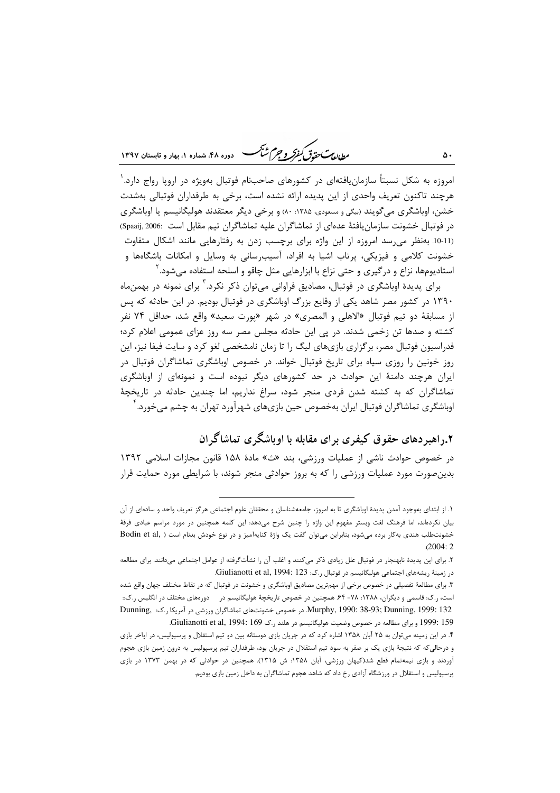ر<br>داداد پست متقدق گفتر و جرم شنگ هنداده ۴۸، شعاره ۱، بعاد و تابستان ۱۳۹۷

امروزه به شکل نسبتاً سازمان یافتهای در کشورهای صاحبنام فوتبال بهویژه در اروپا رواج دارد. ٰ هرچند تاکنون تعریف واحدی از این پدیده ارائه نشده است، برخی به طرفداران فوتبالی بهشدت خشن، اوباشگری می گویند (بیگی و مسعودی، ۱۳۸۵: ۸۰) و برخی دیگر معتقدند هولیگانیسم یا اوباشگری در فوتبال خشونت سازمان یافتهٔ عدهای از تماشاگران علیه تماشاگران تیم مقابل است :2006, (Spaaij, 2006) (11-10. بهنظر می رسد امروزه از این واژه برای برچسب زدن به رفتارهایی مانند اشکال متفاوت خشونت کلامی و فیزیکی، پرتاب اشیا به افراد، آسیب٫سانی به وسایل و امکانات باشگاهها و استادیومها، نزاع و در گیری و حتی نزاع با ابزارهایی مثل چاقو و اسلحه استفاده می شود. آ

برای پدیدهٔ اوباشگری در فوتبال، مصادیق فراوانی می توان ذکر نکرد.<sup>۲</sup> برای نمونه در بهمن ماه ۱۳۹۰ در کشور مصر شاهد یکی از وقایع بزرگ اوباشگری در فوتبال بودیم. در این حادثه که پس از مسابقهٔ دو تیم فوتبال «الاهلی و المصری» در شهر «پورت سعید» واقع شد، حداقل ۷۴ نفر کشته و صدها تن زخمی شدند. در پی این حادثه مجلس مصر سه روز عزای عمومی اعلام کرد؛ فدراسیون فوتبال مصر، برگزاری بازیهای لیگ را تا زمان نامشخصی لغو کرد و سایت فیفا نیز، این روز خونین را روزی سیاه برای تاریخ فوتبال خواند. در خصوص اوباشگری تماشاگران فوتبال در ایران هرچند دامنهٔ این حوادث در حد کشورهای دیگر نبوده است و نمونهای از اوباشگری تماشاگران که به کشته شدن فردی منجر شود، سراغ نداریم، اما چندین حادثه در تاریخچهٔ اوباشگری تماشاگران فوتبال ایران بهخصوص حین بازیهای شهرآورد تهران به چشم می خورد. ٔ

# ۰٫۲اهیر دهای حقوق کیفری برای مقابله با اوباشگری تماشاگران

در خصوص حوادث ناشی از عملیات ورزشی، بند «ث» مادهٔ ۱۵۸ قانون مجازات اسلامی ۱۳۹۲ بدین صورت مورد عملیات ورزشی را که به بروز حوادثی منجر شوند، با شرایطی مورد حمایت قرار

١. از ابتداى بهوجود آمدن پديدهٔ اوباشگرى تا به امروز، جامعهشناسان و محققان علوم اجتماعى هرگز تعريف واحد و سادهاى از آن بیان نکردهاند، اما فرهنگ لغت وبستر مفهوم این واژه را چنین شرح میدهد: این کلمه همچنین در مورد مراسم عبادی فرقهٔ خشونتطلب هندی بهکار برده میشود، بنابراین میتوان گفت یک واژهٔ کنایهآمیز و در نوع خودش بدنام است ( ,Bodin et al  $(2004:2)$ 

۲. برای این پدیدهٔ نابهنجار در فوتبال علل زیادی ذکر میکنند و اغلب آن را نشأتگرفته از عوامل اجتماعی میدانند. برای مطالعه در زمینهٔ ریشههای اجتماعی هولیگانیسم در فوتبال ر.ک: Giulianotti et al, 1994: 123.

۳. برای مطالعهٔ تفصیلی در خصوص برخی از مهم;ترین مصادیق اوباشگری و خشونت در فوتبال که در نقاط مختلف جهان واقع شده است، ر.ک: قاسمی و دیگران، ۱۳۸۸: ۷۸- ۶۴. همچنین در خصوص تاریخچهٔ هولیگانیسم در دورههای مختلف در انگلیس ر.ک:: Murphy, 1990: 38-93; Dunning, 1999: 132 در خصوص خشونتهای تماشاگران ورزشی در آمریکا ر.ک: Dunning, 1999: 132 159 : 1999 وبراى مطالعه در خصوص وضعيت هوليگانيسم در هلند ر.ك Giulianotti et al, 1994: 169

۴. در این زمینه می توان به ۲۵ آبان ۱۳۵۸ اشاره کرد که در جریان بازی دوستانه بین دو تیم استقلال و پرسپولیس، در اواخر بازی و درحالی که که نتیجهٔ بازی یک بر صفر به سود تیم استقلال در جریان بود، طرفداران تیم پرسپولیس به درون زمین بازی هجوم آوردند و بازی نیمهتمام قطع شد(کیهان ورزشی، آبان ۱۳۵۸: ش ۱۳۱۵). همچنین در حوادثی که در بهمن ۱۳۷۳ در بازی پرسپولیس و استقلال در ورزشگاه آزادی رخ داد که شاهد هجوم تماشاگران به داخل زمین بازی بودیم.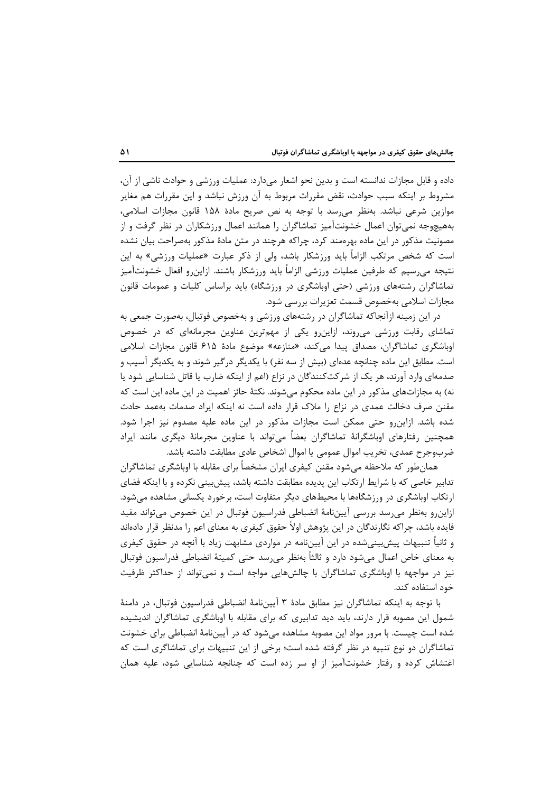داده و قابل مجازات ندانسته است و بدین نحو اشعار میدارد: عملیات ورزشی و حوادث ناشی از آن، مشروط بر اینکه سبب حوادث، نقض مقررات مربوط به آن ورزش نباشد و این مقررات هم مغایر موازين شرعي نباشد. بهنظر مي رسد با توجه به نص صريح مادهٔ ۱۵۸ قانون مجازات اسلامي، بههیچوجه نمیتوان اعمال خشونت آمیز تماشاگران را همانند اعمال ورزشکاران در نظر گرفت و از مصونیت مذکور در این ماده بهرهمند کرد، چراکه هرچند در متن مادهٔ مذکور بهصراحت بیان نشده است که شخص مرتکب الزاماً باید ورزشکار باشد، ولی از ذکر عبارت «عملیات ورزشی» به این نتيجه مىرسيم كه طرفين عمليات ورزشي الزامأ بايد ورزشكار باشند. ازاينرو افعال خشونتآميز تماشاگران رشتههای ورزشی (حتی اوباشگری در ورزشگاه) باید براساس کلیات و عمومات قانون مجازات اسلامی بهخصوص قسمت تعزیرات بررسی شود.

در این زمینه ازآنجاکه تماشاگران در رشتههای ورزشی و بهخصوص فوتبال، بهصورت جمعی به تماشای رقابت ورزشی می وند، ازاین رو یکی از مهم ترین عناوین مجرمانهای که در خصوص اوباشگری تماشاگران، مصداق پیدا میکند، «منازعه» موضوع مادهٔ ۶۱۵ قانون مجازات اسلامی است. مطابق این ماده چنانچه عدهای (بیش از سه نفر) با یکدیگر درگیر شوند و به یکدیگر آسیب و صدمهای وارد آورند، هر یک از شرکتکنندگان در نزاع (اعم از اینکه ضارب یا قاتل شناسایی شود یا نه) به مجازاتهای مذکور در این ماده محکوم میشوند. نکتهٔ حائز اهمیت در این ماده این است که مقنن صرف دخالت عمدی در نزاع را ملاک قرار داده است نه اینکه ایراد صدمات بهعمد حادث شده باشد. ازاین رو حتی ممکن است مجازات مذکور در این ماده علیه مصدوم نیز اجرا شود. همچنین رفتارهای اوباشگرانهٔ تماشاگران بعضاً میتواند با عناوین مجرمانهٔ دیگری مانند ایراد ضربوجرح عمدي، تخريب اموال عمومي يا اموال اشخاص عادي مطابقت داشته باشد.

همانطور که ملاحظه میشود مقنن کیفری ایران مشخصأ برای مقابله با اوباشگری تماشاگران تدابیر خاصی که با شرایط ارتکاب این پدیده مطابقت داشته باشد، پیش بینی نکرده و با اینکه فضای ارتکاب اوباشگری در ورزشگاهها با محیطهای دیگر متفاوت است، برخورد یکسانی مشاهده میشود. ازاین رو بهنظر می رسد بررسی آییننامهٔ انضباطی فدراسیون فوتبال در این خصوص میتواند مفید فایده باشد، چراکه نگارندگان در این پژوهش اولاً حقوق کیفری به معنای اعم را مدنظر قرار دادهاند و ثانیاً تنبیهات پیشبینیشده در این آییننامه در مواردی مشابهت زیاد با آنچه در حقوق کیفری به معنای خاص اعمال میشود دارد و ثالثاً بهنظر میرسد حتی کمیتهٔ انضباطی فدراسیون فوتبال نیز در مواجهه با اوباشگری تماشاگران با چالشهایی مواجه است و نمی تواند از حداکثر ظرفیت خود استفاده کند.

با توجه به اینکه تماشاگران نیز مطابق مادهٔ ۳ آیین:لمهٔ انضباطی فدراسیون فوتبال، در دامنهٔ شمول این مصوبه قرار دارند، باید دید تدابیری که برای مقابله با اوباشگری تماشاگران اندیشیده شده است چیست. با مرور مواد این مصوبه مشاهده میشود که در آییننامهٔ انضباطی برای خشونت تماشاگران دو نوع تنبیه در نظر گرفته شده است؛ برخی از این تنبیهات برای تماشاگری است که اغتشاش کرده و رفتار خشونتآمیز از او سر زده است که چنانچه شناسایی شود، علیه همان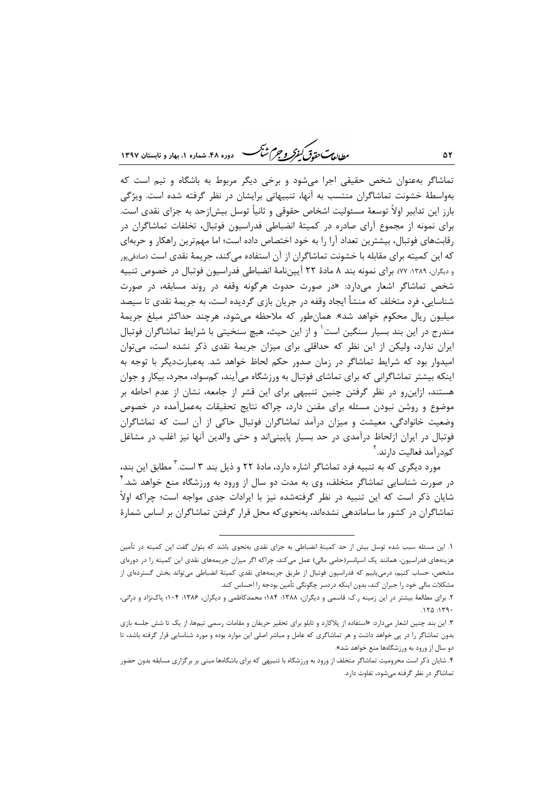ر ...<br>رواد پ<del>رت مقدق گفتر و جرم شن</del>گ هنده ۴۸ شهاده ۱، بعاد و قابستان ۱۳۹۷

تماشاگر بهعنوان شخص حقیقی اجرا می شود و برخی دیگر مربوط به باشگاه و تیم است که بهواسطهٔ خشونت تماشاگران منتسب به آنها، تنبیهاتی برایشان در نظر گرفته شده است. ویژگی بارز این تدابیر اولاً توسعهٔ مسئولیت اشخاص حقوقی و ثانیاً توسل بیش|زحد به جزای نقدی است. برای نمونه از مجموع آرای صادره در کمیتهٔ انضباطی فدراسیون فوتبال، تخلفات تماشاگران در رقابتهای فوتبال، بیشترین تعداد آرا را به خود اختصاص داده است؛ اما مهمترین راهکار و حربهای که این کمیته برای مقابله با خشونت تماشاگران از آن استفاده می کند، جریمهٔ نقدی است (صادقیپور و ديگران، ١٣٨٩: ٧٧). براي نمونه بند ٨ مادة ٢٢ آيينiمهٔ انضباطي فدراسيون فوتبال در خصوص تنبيه شخص تماشاگر اشعار میدارد: «در صورت حدوث هرگونه وقفه در روند مسابقه، در صورت شناسایی، فرد متخلف که منشأ ایجاد وقفه در جریان بازی گردیده است، به جریمهٔ نقدی تا سیصد میلیون ریال محکوم خواهد شد». همانطور که ملاحظه میشود، هرچند حداکثر مبلغ جریمهٔ مندرج در این بند بسیار سنگین است` و از این حیث، هیچ سنخیتی با شرایط تماشاگران فوتبال ایران ندارد، ولیکن از این نظر که حداقلی برای میزان جریمهٔ نقدی ذکر نشده است، می توان امیدوار بود که شرایط تماشاگر در زمان صدور حکم لحاظ خواهد شد. بهعبارتدیگر با توجه به اینکه بیشتر تماشاگرانی که برای تماشای فوتبال به ورزشگاه می آیند، کمسواد، مجرد، بیکار و جوان هستند، ازاینرو در نظر گرفتن چنین تنبیهی برای این قشر از جامعه، نشان از عدم احاطه بر موضوع و روشن نبودن مسئله برای مقنن دارد، چراکه نتایج تحقیقات بهعملآمده در خصوص وضعیت خانوادگی، معیشت و میزان درآمد تماشاگران فوتبال حاکی از آن است که تماشاگران فوتبال در ایران ازلحاظ درآمدی در حد بسیار پایینیاند و حتی والدین آنها نیز اغلب در مشاغل كمد, آمد فعالیت دا, ند. <sup>۲</sup>

مورد دیگری که به تنبیه فرد تماشاگر اشاره دارد، مادهٔ ۲۲ و ذیل بند ۳ است. ٌ مطابق این بند، در صورت شناسایی تماشاگر متخلف، وی به مدت دو سال از ورود به ورزشگاه منع خواهد شد. <sup>۲</sup> شایان ذکر است که این تنبیه در نظر گرفتهشده نیز با ایرادات جدی مواجه است؛ چراکه اولاً تماشاگران در کشور ما ساماندهی نشدهاند، بهنجوی که محل قرار گرفتن تماشاگران بر اساس شمارهٔ

١. اين مسئله سبب شده توسل بيش از حد كميتهٔ انضباطي به جزاي نقدي بهنحوي باشد كه بتوان گفت اين كميته در تأمين هزینههای فدراسیون، همانند یک اسپانسر(حامی مالی) عمل میکند، چراکه اگر میزان جریمههای نقدی این کمیته را در دورهای مشخص، حساب کنیم، درمی،ابیم که فدراسیون فوتبال از طریق جریمههای نقدی کمیتهٔ انضباطی میتواند بخش گستردهای از مشکلات مالی خود را جبران کند، بدون اینکه دردسر چگونگی تأمین بودجه را احساس کند.

۲. برای مطالعهٔ بیشتر در این زمینه ر.ک: قاسمی و دیگران، ۱۳۸۸: ۱۸۴: محمدکاظمی و دیگران، ۱۳۸۶: ۱۰۴؛ پاکنژاد و درانی،  $150.159$ 

۳. این بند چنین اشعار میدارد: «استفاده از پلاکارد و تابلو برای تحقیر حریفان و مقامات رسمی تیمها، از یک تا شش جلسه بازی .<br>بدون تماشاگر را در پی خواهد داشت و هر تماشاگری که عامل و مباشر اصلی این موارد بوده و مورد شناسایی قرار گرفته باشد، تا دو سال از ورود به ورزشگاهها منع خواهد شد».

۴. شایان ذکر است محرومیت تماشاگر متخلف از ورود به ورزشگاه با تنبیهی که برای باشگاهها مبنی بر برگزاری مسابقه بدون حضور تماشاگر در نظر گرفته میشود، تفاوت دارد.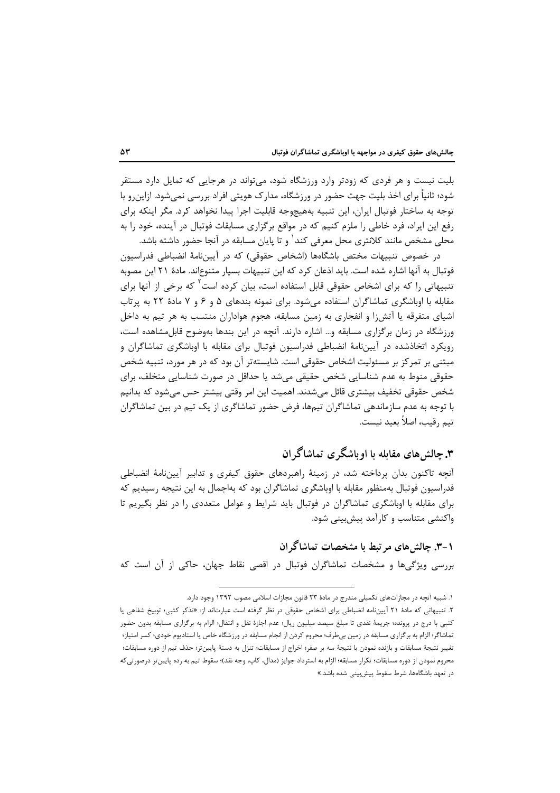بلیت نیست و هر فردی که زودتر وارد ورزشگاه شود، می تواند در هرجایی که تمایل دارد مستقر شود؛ ثانیاً برای اخذ بلیت جهت حضور در ورزشگاه، مدارک هویتی افراد بررسی نمیشود. ازاینرو با توجه به ساختار فوتبال ایران، این تنبیه بههیچوجه قابلیت اجرا پیدا نخواهد کرد. مگر اینکه برای رفع این ایراد، فرد خاطی را ملزم کنیم که در مواقع برگزاری مسابقات فوتبال در آینده، خود را به محلی مشخص مانند کلانتری محل معرفی کند' و تا پایان مسابقه در آنجا حضور داشته باشد.

در خصوص تنبیهات مختص باشگاهها (اشخاص حقوقی) که در آییننامهٔ انضباطی فدراسیون فوتبال به آنها اشاره شده است. باید اذعان کرد که این تنبیهات بسیار متنوعاند. مادهٔ ۲۱ این مصوبه تنبیهاتی را که برای اشخاص حقوقی قابل استفاده است، بیان کرده است<sup>۲</sup> که برخی از آنها برای مقابله با اوباشگری تماشاگران استفاده میشود. برای نمونه بندهای ۵ و ۶ و ۷ مادهٔ ۲۲ به پرتاب اشیای متفرقه یا آتش;ا و انفجاری به زمین مسابقه، هجوم هواداران منتسب به هر تیم به داخل ورزشگاه در زمان برگزاری مسابقه و… اشاره دارند. آنچه در این بندها بهوضوح قابل مشاهده است، رویکرد اتخاذشده در آیینiامهٔ انضباطی فدراسیون فوتبال برای مقابله با اوباشگری تماشاگران و مبتنی بر تمرکز بر مسئولیت اشخاص حقوقی است. شایستهتر آن بود که در هر مورد، تنبیه شخص حقوقی منوط به عدم شناسایی شخص حقیقی می شد یا حداقل در صورت شناسایی متخلف، برای شخص حقوقی تخفیف بیشتری قائل میشدند. اهمیت این امر وقتی بیشتر حس میشود که بدانیم با توجه به عدم سازماندهی تماشاگران تیمها، فرض حضور تماشاگری از یک تیم در بین تماشاگران تيم , قيب، اصلاً بعيد نيست.

### ۳. چالش های مقابله با او باشگر ی تماشاگر ان

آنچه تاکنون بدان پرداخته شد، در زمینهٔ راهبردهای حقوق کیفری و تدابیر آییننامهٔ انضباطی فدراسیون فوتبال بەمنظور مقابله با اوباشگری تماشاگران بود که بەاجمال به این نتیجه رسیدیم که برای مقابله با اوباشگری تماشاگران در فوتبال باید شرایط و عوامل متعددی را در نظر بگیریم تا واکنشی متناسب و کارآمد پیش بینی شود.

۱–۳. چالش های مر تبط با مشخصات تماشاگر ان بررسی ویژگیها و مشخصات تماشاگران فوتبال در اقصی نقاط جهان، حاکی از آن است که

۱. شبیه آنچه در مجازاتهای تکمیلی مندرج در مادهٔ ۲۳ قانون مجازات اسلامی مصوب ۱۳۹۲ وجود دارد.

۲. تنبیهاتی که مادهٔ ۲۱ آیینiامه انضباطی برای اشخاص حقوقی در نظر گرفته است عبارتاند از: «تذکر کتبی؛ توبیخ شفاهی یا کتبی با درج در پرونده؛ جریمهٔ نقدی تا مبلغ سیصد میلیون ریال؛ عدم اجازهٔ نقل و انتقال؛ الزام به برگزاری مسابقه بدون حضور تماشاگر؛ الزام به برگزاری مسابقه در زمین بی طرف؛ محروم کردن از انجام مسابقه در ورزشگاه خاص یا استادیوم خودی؛ کسر امتیاز؛ تغيير نتيجهٔ مسابقات و بازنده نمودن با نتيجهٔ سه بر صفر؛ اخراج از مسابقات؛ تنزل به دستهٔ پايينتر؛ حذف تيم از دوره مسابقات؛ محروم نمودن از دوره مسابقات؛ تكرار مسابقه؛ الزام به استرداد جوايز (مدال، كاپ، وجه نقد)؛ سقوط تيم به رده پايينتر درصورتيكه در تعهد باشگاهها، شرط سقوط پیشبینی شده باشد.»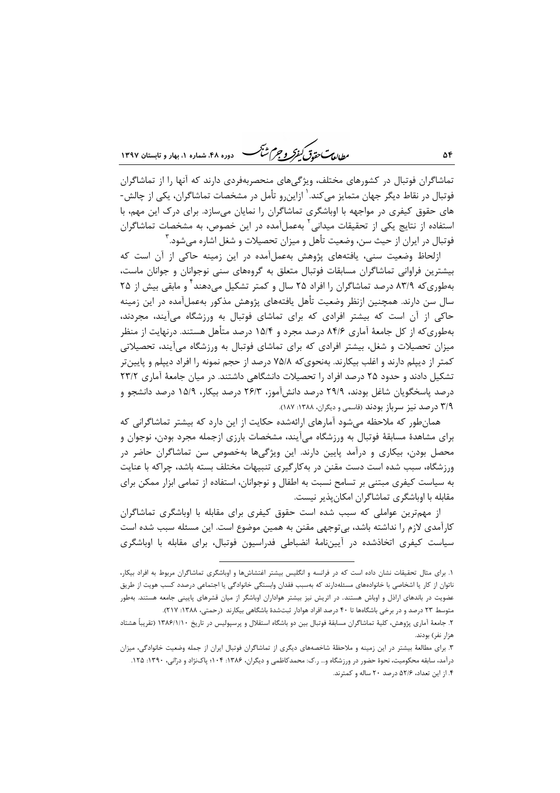ر ...<br>ر<u>طالعاس متمامی کمفرکر و جرم شنگ</u> هست دوده ۴۸ شماره ۱، بهار و تابستان ۱۳۹۷

تماشاگران فوتبال در کشورهای مختلف، ویژگیهای منحصربهفردی دارند که آنها را از تماشاگران فوتبال در نقاط دیگر جهان متمایز میکند.<sup>۱</sup> ازاین٫و تأمل در مشخصات تماشاگران، یکی از چالش-های حقوق کیفری در مواجهه با اوباشگری تماشاگران را نمایان می سازد. برای درک این مهم، با استفاده از نتایج یکی از تحقیقات میدانی<sup>۲</sup> بهعملآمده در این خصوص، به مشخصات تماشاگران فوتبال در ايران از حيث سن، وضعيت تأهل و ميزان تحصيلات و شغل اشاره مي شود. ۳

ازلحاظ وضعیت سنی، یافتههای پژوهش بهعملآمده در این زمینه حاکی از آن است که بیشترین فراوانی تماشاگران مسابقات فوتبال متعلق به گروههای سنی نوجوانان و جوانان ماست، بەطورىكە ۸۳/۹ درصد تماشاگران ,ا افراد ۲۵ سال و كمتر تشكيل مى،دهند<sup>1</sup> و مابقى بيش از ۲۵ سال سن دارند. همچنین ازنظر وضعیت تأهل یافتههای پژوهش مذکور بهعملآمده در این زمینه حاکی از آن است که بیشتر افرادی که برای تماشای فوتبال به ورزشگاه میآیند، مجردند، بهطوری که از کل جامعهٔ آماری ۸۴/۶ درصد مجرد و ۱۵/۴ درصد متأهل هستند. درنهایت از منظر میزان تحصیلات و شغل، بیشتر افرادی که برای تماشای فوتبال به ورزشگاه میآیند، تحصیلاتی کمتر از دیپلم دارند و اغلب بیکارند. بهنحویکه ۷۵/۸ درصد از حجم نمونه را افراد دیپلم و پایینتر تشکیل دادند و حدود ۲۵ درصد افراد را تحصیلات دانشگاهی داشتند. در میان جامعهٔ آماری ۲۳/۲ درصد پاسخگویان شاغل بودند، ۲۹/۹ درصد دانشآموز، ۲۶/۳ درصد بیکار، ۱۵/۹ درصد دانشجو و ٣/٩ درصد نيز سرباز بودند (قاسمي و ديگران، ١٣٨٨: ١٨٧).

همان طور که ملاحظه می شود آمارهای ارائهشده حکایت از این دارد که بیشتر تماشاگرانی که برای مشاهدهٔ مسابقهٔ فوتبال به ورزشگاه میآیند، مشخصات بارزی ازجمله مجرد بودن، نوجوان و محصل بودن، بیکاری و درآمد پایین دارند. این ویژگیها بهخصوص سن تماشاگران حاضر در ورزشگاه، سبب شده است دست مقنن در بهکارگیری تنبیهات مختلف بسته باشد، چراکه با عنایت به سیاست کیفری مبتنی بر تسامح نسبت به اطفال و نوجوانان، استفاده از تمامی ابزار ممکن برای مقابله با اوباشگری تماشاگران امکانپذیر نیست.

از مهمترین عواملی که سبب شده است حقوق کیفری برای مقابله با اوباشگری تماشاگران کارآمدی لازم را نداشته باشد، بی¤وجهی مقنن به همین موضوع است. این مسئله سبب شده است سیاست کیفری اتخاذشده در آیینiامهٔ انضباطی فدراسیون فوتبال، برای مقابله با اوباشگری

١. برای مثال تحقیقات نشان داده است که در فرانسه و انگلیس بیشتر اغتشاشها و اوباشگری تماشاگران مربوط به افراد بیکار، ناتوان از کار یا اشخاصی با خانوادههای مسئلهدارند که بهسبب فقدان وابستگی خانوادگی یا اجتماعی درصدد کسب هویت از طریق عضویت در باندهای اراذل و اوباش هستند. در اتریش نیز بیشتر هواداران اوباشگر از میان قشرهای پایینی جامعه هستند. بهطور متوسط ۲۳ درصد و در برخی باشگاهها تا ۴۰ درصد افراد هوادار ثبتشدهٔ باشگاهی بیکارند (رحمتی، ۱۳۸۸: ۲۱۷).

۲. جامعهٔ آماری پژوهش، کلیهٔ تماشاگران مسابقهٔ فوتبال بین دو باشگاه استقلال و پرسپولیس در تاریخ ۱۳۸۶/۱/۱۰ (تقریباً هشتاد هزار نفر) بودند.

۳. برای مطالعهٔ بیشتر در این زمینه و ملاحظهٔ شاخصههای دیگری از تماشاگران فوتبال ایران از جمله وضعیت خانوادگی، میزان درآمد، سابقه محکومیت، نحوهٔ حضور در ورزشگاه و… ر.ک: محمدکاظمی و دیگران، ۱۳۸۶: ۱۰۴؛ پاکنژاد و درانی، ۱۳۹۰: ۱۲۵. ۴. از این تعداد، ۵۲/۶ درصد ۲۰ ساله و کمترند.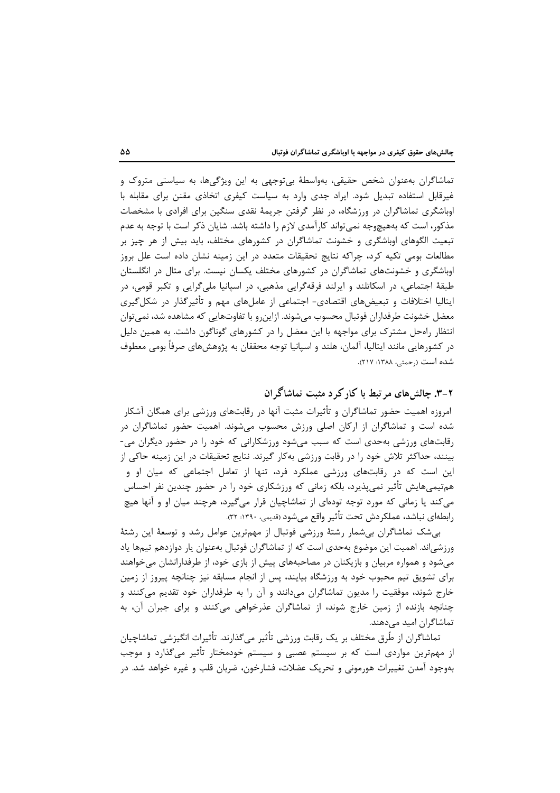تماشاگران بهعنوان شخص حقیقی، بهواسطهٔ بی توجهی به این ویژگیها، به سیاستی متروک و غیرقابل استفاده تبدیل شود. ایراد جدی وارد به سیاست کیفری اتخاذی مقنن برای مقابله با اوباشگری تماشاگران در ورزشگاه، در نظر گرفتن جریمهٔ نقدی سنگین برای افرادی با مشخصات مذکور، است که بههیچوجه نمی تواند کارآمدی لازم را داشته باشد. شایان ذکر است با توجه به عدم تبعیت الگوهای اوباشگری و خشونت تماشاگران در کشورهای مختلف، باید بیش از هر چیز بر مطالعات بومی تکیه کرد، چراکه نتایج تحقیقات متعدد در این زمینه نشان داده است علل بروز اوباشگری و خشونتهای تماشاگران در کشورهای مختلف یکسان نیست. برای مثال در انگلستان طبقهٔ اجتماعی، در اسکاتلند و ایرلند فرقهگرایی مذهبی، در اسپانیا ملیگرایی و تکبر قومی، در ایتالیا اختلافات و تبعیضهای اقتصادی- اجتماعی از عاملهای مهم و تأثیرگذار در شکلگیری معضل خشونت طرفداران فوتبال محسوب مىشوند. ازاينرو با تفاوتهايى كه مشاهده شد، نمىتوان انتظار راهحل مشترک برای مواجهه با این معضل را در کشورهای گوناگون داشت. به همین دلیل در کشورهایی مانند ایتالیا، آلمان، هلند و اسپانیا توجه محققان به پژوهشهای صرفاً بومی معطوف شده است (رحمتی، ۱۳۸۸: ۲۱۷).

## ۲-۳. چالش های مرتبط با کار کر د مثبت تماشاگر ان

امروزه اهمیت حضور تماشاگران و تأثیرات مثبت آنها در رقابتهای ورزشی برای همگان آشکار شده است و تماشاگران از ارکان اصلی ورزش محسوب میشوند. اهمیت حضور تماشاگران در رقابتهای ورزشی بهحدی است که سبب میشود ورزشکارانی که خود را در حضور دیگران می-بینند، حداکثر تلاش خود را در رقابت ورزشی بهکار گیرند. نتایج تحقیقات در این زمینه حاکی از این است که در رقابتهای ورزشی عملکرد فرد، تنها از تعامل اجتماعی که میان او و هم تیمیهایش تأثیر نمیپذیرد، بلکه زمانی که ورزشکاری خود را در حضور چندین نفر احساس می کند یا زمانی که مورد توجه تودهای از تماشاچیان قرار می گیرد، هرچند میان او و آنها هیچ رابطهای نباشد، عملکردش تحت تأثیر واقع می شود (قدیمی، ۱۳۹۰: ۳۲).

بی شک تماشاگران بی شمار رشتهٔ ورزشی فوتبال از مهمترین عوامل رشد و توسعهٔ این رشتهٔ ورزشی|ند. اهمیت این موضوع بهحدی است که از تماشاگران فوتبال بهعنوان یار دوازدهم تیمها یاد می شود و همواره مربیان و بازیکنان در مصاحبههای پیش از بازی خود، از طرفدارانشان میخواهند برای تشویق تیم محبوب خود به ورزشگاه بیایند، پس از انجام مسابقه نیز چنانچه پیروز از زمین خارج شوند، موفقیت را مدیون تماشاگران میدانند و آن را به طرفداران خود تقدیم می کنند و چنانچه بازنده از زمین خارج شوند، از تماشاگران عذرخواهی میکنند و برای جبران آن، به تماشاگران امید مے دھند.

تماشاگران از طُرق مختلف بر یک رقابت ورزشی تأثیر میگذارند. تأثیرات انگیزشی تماشاچیان از مهمترین مواردی است که بر سیستم عصبی و سیستم خودمختار تأثیر میگذارد و موجب بهوجود آمدن تغییرات هورمونی و تحریک عضلات، فشارخون، ضربان قلب و غیره خواهد شد. در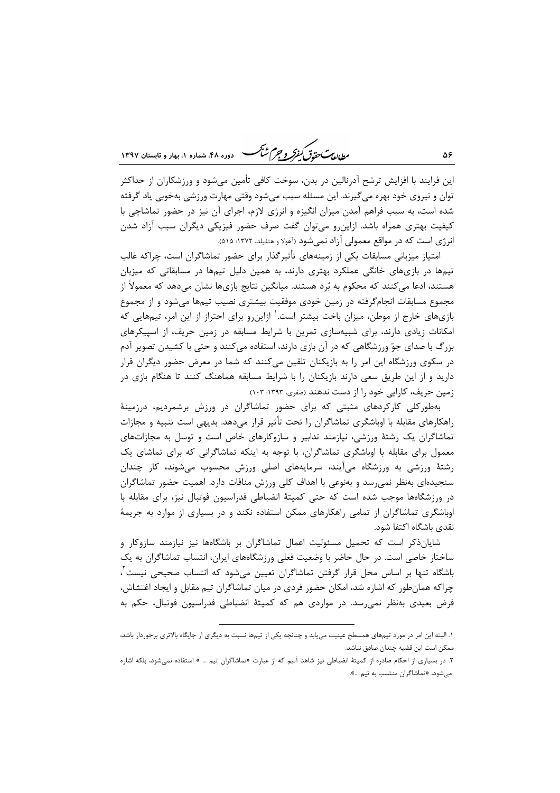ردار بهت حقدتی کنفرکر و جرم ش<sup>ت</sup>ک دوره ۴۸، شماره ۱، بهار و تابستان ۱۳۹۷

این فرایند با افزایش ترشح آدرنالین در بدن، سوخت کافی تأمین میشود و ورزشکاران از حداکثر توان و نیروی خود بهره می گیرند. این مسئله سبب میشود وقتی مهارت ورزشی بهخوبی یاد گرفته شده است، به سبب فراهم آمدن میزان انگیزه و انرژی لازم، اجرای آن نیز در حضور تماشاچی با کیفیت بهتری همراه باشد. ازاین٫و میتوان گفت صرف حضور فیزیکی دیگران سبب آزاد شدن انرژی است که در مواقع معمولی آزاد نمیشود (آهولا و هتفیلد، ۱۳۷۲: ۵۱۵).

امتیاز میزبانی مسابقات یکی از زمینههای تأثیرگذار برای حضور تماشاگران است، چراکه غالب تیمها در بازیهای خانگی عملکرد بهتری دارند، به همین دلیل تیمها در مسابقاتی که میزبان هستند، ادعا میکنند که محکوم به بُرد هستند. میانگین نتایج بازیها نشان میدهد که معمولاً از مجموع مسابقات انجامگرفته در زمین خودی موفقیت بیشتری نصیب تیمها میشود و از مجموع بازیهای خارج از موطن، میزان باخت بیشتر است.<sup>۱</sup> ازاین٫رو برای احتراز از این امر، تیمهایی که امکانات زیادی دارند، برای شبیهسازی تمرین با شرایط مسابقه در زمین حریف، از اسپیکرهای بزرگ با صدای جوّ ورزشگاهی که در آن بازی دارند، استفاده میکنند و حتی با کشیدن تصویر آدم در سکوی ورزشگاه این امر را به بازیکنان تلقین میکنند که شما در معرض حضور دیگران قرار دارید و از این طریق سعی دارند بازیکنان را با شرایط مسابقه هماهنگ کنند تا هنگام بازی در زمین حریف، کارایی خود را از دست ندهند (صفری، ۱۳۹۳: ۱۰۳).

بهطورکلی کارکردهای مثبتی که برای حضور تماشاگران در ورزش برشمردیم، درزمینهٔ راهكارهاي مقابله با اوباشگري تماشاگران را تحت تأثير قرار مىدهد. بديهي است تنبيه و مجازات تماشاگران یک رشتهٔ ورزشی، نیازمند تدابیر و سازوکارهای خاص است و توسل به مجازاتهای معمول برای مقابله با اوباشگری تماشاگران، با توجه به اینکه تماشاگرانی که برای تماشای یک رشتهٔ ورزشی به ورزشگاه میآیند، سرمایههای اصلی ورزش محسوب میشوند، کار چندان سنجیدهای بهنظر نمی رسد و بهنوعی با اهداف کلی ورزش منافات دارد. اهمیت حضور تماشاگران در ورزشگاهها موجب شده است که حتی کمیتهٔ انضباطی فدراسیون فوتبال نیز، برای مقابله با اوباشگری تماشاگران از تمامی راهکارهای ممکن استفاده نکند و در بسیاری از موارد به جریمهٔ نقدى باشگاه اكتفا شود.

شایان،ذکر است که تحمیل مسئولیت اعمال تماشاگران بر باشگاهها نیز نیازمند سازوکار و ساختار خاصی است. در حال حاضر با وضعیت فعلی ورزشگاههای ایران، انتساب تماشاگران به یک باشگاه تنها بر اساس محل قرار گرفتن تماشاگران تعیین می شود که انتساب صحیحی نیست ً، چراکه همانطور که اشاره شد، امکان حضور فردی در میان تماشاگران تیم مقابل و ایجاد اغتشاش، فرض بعیدی بهنظر نمی رسد. در مواردی هم که کمیتهٔ انضباطی فدراسیون فوتبال، حکم به

۱. البته این امر در مورد تیمهای همسطح عینیت می،یابد و چنانچه یکی از تیمها نسبت به دیگری از جایگاه بالاتری برخوردار باشد، ممكن است اين قضيه چندان صادق نباشد.

۲. در بسیاری از احکام صادره از کمیتهٔ انضباطی نیز شاهد آنیم که از عبارت «تماشاگران تیم … » استفاده نمی شود، بلکه اشاره میشود، «تماشاگران منتسب به تیم …».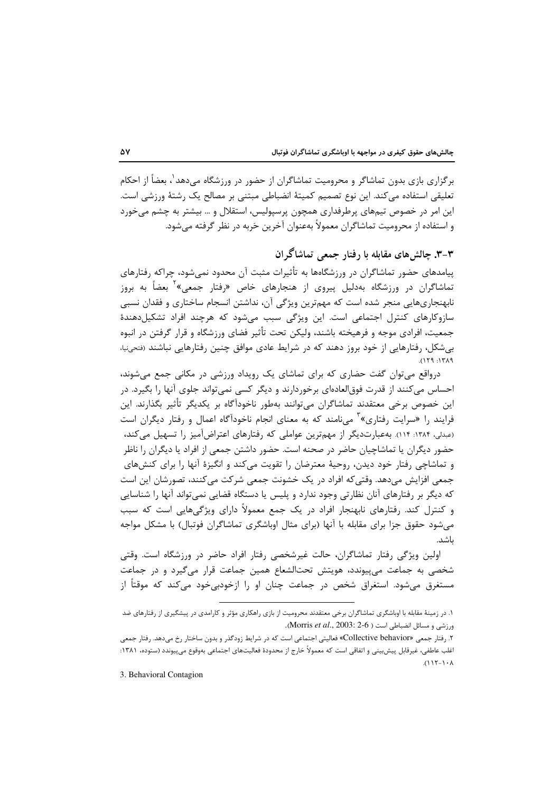برگزاری بازی بدون تماشاگر و محرومیت تماشاگران از حضور در ورزشگاه می۵هد٬ بعضاً از احکام تعليقى استفاده مى كند. اين نوع تصميم كميتهٔ انضباطي مبتنى بر مصالح يک رشتهٔ ورزشى است. این امر در خصوص تیمهای پرطرفداری همچون پرسپولیس، استقلال و … بیشتر به چشم می خورد و استفاده از محرومیت تماشاگران معمولاً بهعنوان آخرین حَربه در نظر گرفته می شود.

# ۳-۳. چالشهای مقابله با رفتار جمعی تماشاگران

پیامدهای حضور تماشاگران در ورزشگاهها به تأثیرات مثبت آن محدود نمی شود، چراکه رفتارهای تماشاگران در ورزشگاه بهدلیل پیروی از هنجارهای خاص «رفتار جمعی»<sup>۲</sup> بعضاً به بروز نابهنجاريهايي منجر شده است كه مهمترين ويژگي آن، نداشتن انسجام ساختاري و فقدان نسبي سازوکارهای کنترل اجتماعی است. این ویژگی سبب میشود که هرچند افراد تشکیلدهندهٔ جمعیت، افرادی موجه و فرهیخته باشند، ولیکن تحت تأثیر فضای ورزشگاه و قرار گرفتن در انبوه بی شکل، رفتارهایی از خود بروز دهند که در شرایط عادی موافق چنین رفتارهایی نباشند (فتحینیا،  $PAYI: PYI$ 

درواقع می توان گفت حضاری که برای تماشای یک رویداد ورزشی در مکانی جمع میشوند، احساس میکنند از قدرت فوق|لعادهای برخوردارند و دیگر کسی نمیتواند جلوی آنها را بگیرد. در این خصوص برخی معتقدند تماشاگران میتوانند بهطور ناخودآگاه بر یکدیگر تأثیر بگذارند. این فرایند ,ا «سرایت ,فتاری»<sup>۳</sup> مے نامند که به معنای انجام ناخودآگاه اعمال و رفتار دیگران است (عبدلی، ۱۳۸۴: ۱۱۴). بهعبارتدیگر از مهمترین عواملی که رفتارهای اعتراضآمیز را تسهیل میکند، حضور دیگران یا تماشاچیان حاضر در صحنه است. حضور داشتن جمعی از افراد یا دیگران را ناظر و تماشاچی رفتار خود دیدن، روحیهٔ معترضان را تقویت میکند و انگیزهٔ آنها را برای کنشهای جمعي افزايش مي،دهد. وقتي كه افراد در يک خشونت جمعي شركت مي كنند، تصورشان اين است که دیگر بر رفتارهای آنان نظارتی وجود ندارد و پلیس یا دستگاه قضایی نمی تواند آنها را شناسایی و کنترل کند. رفتارهای نابهنجار افراد در یک جمع معمولاً دارای ویژگیهایی است که سبب می شود حقوق جزا برای مقابله با آنها (برای مثال اوباشگری تماشاگران فوتبال) با مشکل مواجه ىاشد.

اولین ویژگی رفتار تماشاگران، حالت غیرشخصی رفتار افراد حاضر در ورزشگاه است. وقتی شخصی به جماعت میپیوندد، هویتش تحتالشعاع همین جماعت قرار می گیرد و در جماعت مستغرق میشود. استغراق شخص در جماعت چنان او را ازخودبی خود می کند که موقتاً از

3. Behavioral Contagion

۱. در زمینهٔ مقابله با اوباشگری تماشاگران برخی معتقدند محرومیت از بازی راهکاری مؤثر و کارامدی در پیشگیری از رفتارهای ضد  $\Delta$ Morris *et al.*, 2003: 2-6 ) (Morris *et al.*, 2003: 2-6).

۲. رفتار جمعي «Collective behavior» فعاليتي اجتماعي است كه در شرايط زودگذر و بدون ساختار رخ مي دهد. رفتار جمعي اغلب عاطفي، غيرقابل پيش بيني و اتفاقي است كه معمولاً خارج از محدودهٔ فعاليتهاي اجتماعي بهوقوع مي پيوندد (ستوده، ١٣٨١:  $(115-1)$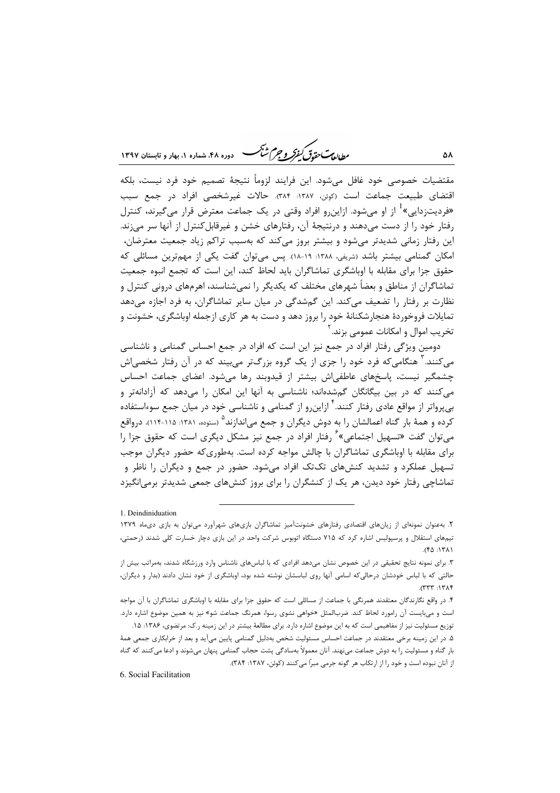بطابع ستحقدق كنفركه وجرم شبحب 

مقتضيات خصوصي خود غافل مى شود. اين فرايند لزوماً نتيجهٔ تصميم خود فرد نيست، بلكه اقتضاى طبيعت جماعت است (كوئن، ١٣٨٧: ٣٨۴). حالات غيرشخصى افراد در جمع سبب «فردیتزدایی»<sup>1</sup> از او می شود. ازاین و افراد وقتی در یک جماعت معترض قرار می *گ*یرند، کنترل رفتار خود را از دست میدهند و درنتیجهٔ آن، رفتارهای خشن و غیرقابل کنترل از آنها سر میزند. این رفتار زمانی شدیدتر میشود و بیشتر بروز میکند که بهسبب تراکم زیاد جمعیت معترضان، امکان گمنامی بیشتر باشد (شریفی، ۱۳۸۸: ۱۹-۱۸). پس میتوان گفت یکی از مهمترین مسائلی که حقوق جزا برای مقابله با اوباشگری تماشاگران باید لحاظ کند، این است که تجمع انبوه جمعیت تماشاگران از مناطق و بعضاً شهرهای مختلف که یکدیگر را نمی شناسند، اهرمهای درونی کنترل و نظارت بر رفتار را تضعیف میکند. این گمشدگی در میان سایر تماشاگران، به فرد اجازه میدهد تمایلات فروخوردهٔ هنجارشکنانهٔ خود را بروز دهد و دست به هر کاری ازجمله اوباشگری، خشونت و تخریب اموال و امکانات عمومے<sub>،</sub> بزند. <sup>۲</sup>

دومین ویژگی رفتار افراد در جمع نیز این است که افراد در جمع احساس گمنامی و ناشناسی میکنند. ۱ هنگامیکه فرد خود را جزی از یک گروه بزرگتر میبیند که در آن رفتار شخصیاش چشمگیر نیست، پاسخهای عاطفی اش بیشتر از قیدوبند رها می شود. اعضای جماعت احساس میکنند که در بین بیگانگان گمشدهاند؛ ناشناسی به آنها این امکان را میدهد که آزادانهتر و بی برواتر از مواقع عادی رفتار کنند.<sup>۴</sup> ازاین رو از گمنامی و ناشناسی خود در میان جمع سوءاستفاده کرده و همهٔ بار گناه اعمالشان ,ا به دوش دیگران و جمع می|ندازند<sup>۵</sup> (ستوده، ۱۳۸۱: ۱۱۵-۱۱۴). درواقع می توان گفت «تسهیل اجتماعی» ٌ رفتار افراد در جمع نیز مشکل دیگری است که حقوق جزا را برای مقابله با اوباشگری تماشاگران با چالش مواجه کرده است. بهطوری که حضور دیگران موجب تسهیل عملکرد و تشدید کنشهای تکتک افراد میشود. حضور در جمع و دیگران را ناظر و تماشاچی رفتار خود دیدن، هر یک از کنشگران را برای بروز کنشهای جمعی شدیدتر برمی|نگیزد

6. Social Facilitation

<sup>1.</sup> Deindiniduation

۲. بهعنوان نمونهای از زیانهای اقتصادی رفتارهای خشونتآمیز تماشاگران بازیهای شهرآورد میتوان به بازی دیماه ۱۳۷۹ تیمهای استقلال و پرسپولیس اشاره کرد که ۷۱۵ دستگاه اتوبوس شرکت واحد در این بازی دچار خسارت کلی شدند (رحمتی،  $(50.151)$ 

۳. برای نمونه نتایج تحقیقی در این خصوص نشان مے دهد افرادی که با لباس های ناشناس وارد ورزشگاه شدند، بهمراتب بیش از حالتی که با لباس خودشان درحالیکه اسامی آنها روی لباسشان نوشته شده بود، اوباشگری از خود نشان دادند (بدار و دیگران،  $(TTT - 1T\lambda)$ 

۴. در واقع نگارندگان معتقدند همرنگی با جماعت از مسائلی است که حقوق جزا برای مقابله با اوباشگری تماشاگران با آن مواجه است و می بایست آن رامورد لحاظ کند. ضربالمثل «خواهی نشوی رسوا، همرنگ جماعت شو» نیز به همین موضوع اشاره دارد.

توزیع مسئولیت نیز از مفاهیمی است که به این موضوع اشاره دارد. برای مطالعهٔ بیشتر در این زمینه ر.ک: مرتضوی، ۱۳۸۶: ۱۵. ۵. در این زمینه برخی معتقدند در جماعت احساس مسئولیت شخص بهدلیل گمنامی پایین میآید و بعد از خرابکاری جمعی همهٔ بار گناه و مسئولیت را به دوش جماعت مینهند. آنان معمولاً بهسادگی پشت حجاب گمنامی پنهان میشوند و ادعا میکنند که گناه از آنان نبوده است و خود را از ارتکاب هر گونه جرمی مبراً میکنند (کوئن، ۱۳۸۷: ۳۸۴).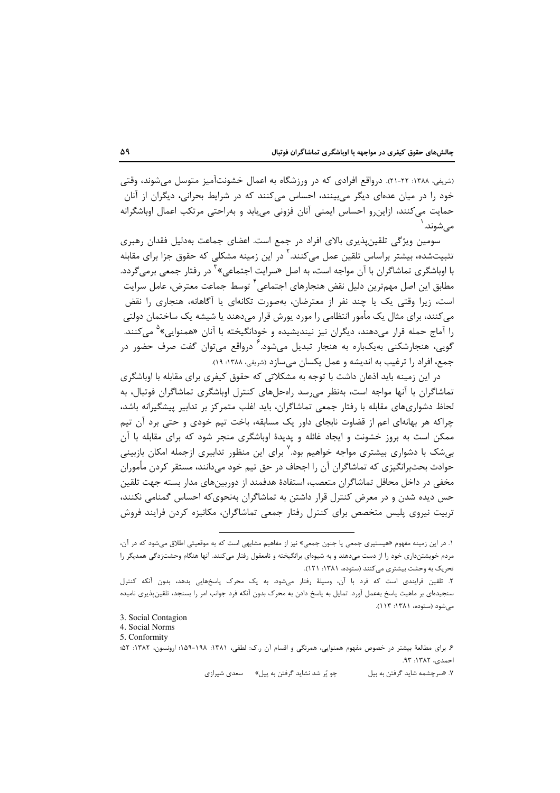(شریفی، ۱۳۸۸: ۲۲-۲۱). درواقع افرادی که در ورزشگاه به اعمال خشونتآمیز متوسل می شوند، وقتی خود را در میان عدهای دیگر میبینند، احساس میکنند که در شرایط بحرانی، دیگران از آنان حمایت میکنند، ازاین٫و احساس ایمنی آنان فزونی می،یابد و به٫احتی مرتکب اعمال اوباشگرانه مى شوند.

سومین ویژگی تلقینپذیری بالای افراد در جمع است. اعضای جماعت بهدلیل فقدان رهبری تثبیتشده، بیشتر براساس تلقین عمل میکنند.<sup>۲</sup> در این زمینه مشکلی که حقوق جزا برای مقابله با اوباشگری تماشاگران با آن مواجه است، به اصل «سرایت اجتماعی»<sup>۲</sup> در رفتار جمعی برم*ی گ*ردد. مطابق این اصل مهمترین دلیل نقض هنجارهای اجتماعی ٔ توسط جماعت معترض، عامل سرایت است، زیرا وقتی یک یا چند نفر از معترضان، بهصورت تکانهای یا آگاهانه، هنجاری را نقض میکنند، برای مثال یک مأمور انتظامی را مورد یورش قرار میدهند یا شیشه یک ساختمان دولتی را آماج حمله قرار میدهند، دیگران نیز نیندیشیده و خودانگیخته با آنان «همنوایی»<sup>۵</sup> میکنند. گویی، هنجارشکنی بهیکباره به هنجار تبدیل می,شود. ⁄ درواقع می,توان گفت صرف حضور در جمع، افراد را ترغيب به انديشه و عمل يكسان مي سازد (شريفي، ١٣٨٨: ١٩).

در این زمینه باید اذعان داشت با توجه به مشکلاتی که حقوق کیفری برای مقابله با اوباشگری تماشاگران با آنها مواجه است، بهنظر می رسد راهحلهای کنترل اوباشگری تماشاگران فوتبال، به لحاظ دشواریهای مقابله با رفتار جمعی تماشاگران، باید اغلب متمرکز بر تدابیر پیشگیرانه باشد، چراکه هر بهانهای اعم از قضاوت نابجای داور یک مسابقه، باخت تیم خودی و حتی برد آن تیم ممکن است به بروز خشونت و ایجاد غائله و پدیدهٔ اوباشگری منجر شود که برای مقابله با آن بیشک با دشواری بیشتری مواجه خواهیم بود.<sup>۷</sup> برای این منظور تدابیری ازجمله امکان بازبینی حوادث بحثبرانگیزی که تماشاگران آن را اجحاف در حق تیم خود می،دانند، مستقر کردن مأموران مخفی در داخل محافل تماشاگران متعصب، استفادهٔ هدفمند از دوربینهای مدار بسته جهت تلقین حس دیده شدن و در معرض کنترل قرار داشتن به تماشاگران بهنحویکه احساس گمنامی نکنند، تربیت نیروی پلیس متخصص برای کنترل رفتار جمعی تماشاگران، مکانیزه کردن فرایند فروش

4. Social Norms

چو پُر شد نشاید گرفتن به پیل» مسعدی شیرازی ۷. «سرچشمه شاید گرفتن به بیل

۱. در این زمینه مفهوم «هیستیری جمعی یا جنون جمعی» نیز از مفاهیم مشابهی است که به موقعیتی اطلاق میشود که در آن، مردم خویشتنداری خود را از دست میدهند و به شیوهای برانگیخته و نامعقول رفتار میکنند. آنها هنگام وحشتزدگی همدیگر را تحریک به وحشت بیشتری می کنند (ستوده، ۱۳۸۱: ۱۲۱).

۲. تلقین فرایندی است که فرد با آن، وسیلهٔ رفتار میشود. به یک محرک پاسخهایی بدهد، بدون آنکه کنترل سنجیدهای بر ماهیت پاسخ بهعمل آورد. تمایل به پاسخ دادن به محرک بدون آنکه فرد جوانب امر را بسنجد، تلقینپذیری نامیده مے شود (ستوده، ۱۳۸۱: ۱۱۳).

<sup>3.</sup> Social Contagion

<sup>5.</sup> Conformity

۶. برای مطالعهٔ بیشتر در خصوص مفهوم همنوایی، همرنگی و اقسام آن ر.ک: لطفی، ۱۳۸۱-۱۳۸۹-۱۵۹؛ ارونسون، ۱۳۸۲: ۵۲؛ احمدی، ۱۳۸۲: ۹۳.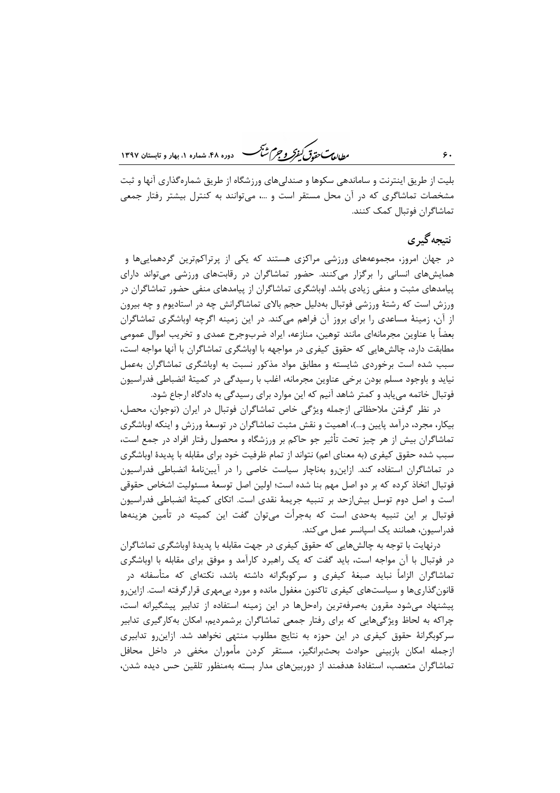ر<br>رواده سی متحدق کفر و جرم شنگ هنده ۴۸، شعاده ۱، بعاد و قابستان ۱۳۹۷

بلیت از طریق اینترنت و ساماندهی سکوها و صندلیهای ورزشگاه از طریق شمارهگذاری آنها و ثبت مشخصات تماشاگری که در آن محل مستقر است و …، میتوانند به کنترل بیشتر رفتار جمعی تماشاگران فوتبال کمک کنند.

### نتىجەگىرى

در جهان امروز، مجموعههای ورزشی مراکزی هستند که یکی از پرتراکمترین گردهماییها و همایشهای انسانی را برگزار میکنند. حضور تماشاگران در رقابتهای ورزشی میتواند دارای پیامدهای مثبت و منفی زیادی باشد. اوباشگری تماشاگران از پیامدهای منفی حضور تماشاگران در ورزش است که رشتهٔ ورزشی فوتبال بهدلیل حجم بالای تماشاگرانش چه در استادیوم و چه بیرون از آن، زمینهٔ مساعدی را برای بروز آن فراهم میکند. در این زمینه اگرچه اوباشگری تماشاگران بعضاً با عناوین مجرمانهای مانند توهین، منازعه، ایراد ضربوجرح عمدی و تخریب اموال عمومی مطابقت دارد، چالشهایی که حقوق کیفری در مواجهه با اوباشگری تماشاگران با آنها مواجه است، سبب شده است برخوردی شایسته و مطابق مواد مذکور نسبت به اوباشگری تماشاگران بهعمل نیاید و باوجود مسلم بودن برخی عناوین مجرمانه، اغلب با رسیدگی در کمیتهٔ انضباطی فدراسیون فوتبال خاتمه می یابد و کمتر شاهد آنیم که این موارد برای رسیدگی به دادگاه ارجاع شود.

در نظر گرفتن ملاحظاتی ازجمله ویژگی خاص تماشاگران فوتبال در ایران (نوجوان، محصل، بیکار، مجرد، درآمد پایین و…)، اهمیت و نقش مثبت تماشاگران در توسعهٔ ورزش و اینکه اوباشگری تماشاگران بیش از هر چیز تحت تأثیر جو حاکم بر ورزشگاه و محصول رفتار افراد در جمع است، سبب شده حقوق کیفری (به معنای اعم) نتواند از تمام ظرفیت خود برای مقابله با پدیدهٔ اوباشگری در تماشاگران استفاده کند. ازاین رو بهناچار سیاست خاصی را در آییننامهٔ انضباطی فدراسیون فوتبال اتخاذ کرده که بر دو اصل مهم بنا شده است؛ اولین اصل توسعهٔ مسئولیت اشخاص حقوقی است و اصل دوم توسل بیش|زحد بر تنبیه جریمهٔ نقدی است. اتکای کمیتهٔ انضباطی فدراسیون فوتبال بر این تنبیه بهحدی است که بهجرأت میتوان گفت این کمیته در تأمین هزینهها فدراسيون، همانند يک اسپانسر عمل مي کند.

درنهایت با توجه به چالشهایی که حقوق کیفری در جهت مقابله با پدیدهٔ اوباشگری تماشاگران در فوتبال با آن مواجه است، باید گفت که یک راهبرد کارآمد و موفق برای مقابله با اوباشگری تماشاگران الزاماً نباید صبغهٔ کیفری و سرکوبگرانه داشته باشد، نکتهای که متأسفانه در قانون گذاریها و سیاستهای کیفری تاکنون مغفول مانده و مورد بیمهری قرار گرفته است. ازاین٫و پیشنهاد می شود مقرون بهصرفهترین راهحلها در این زمینه استفاده از تدابیر پیشگیرانه است، چراکه به لحاظ ویژگیهایی که برای رفتار جمعی تماشاگران برشمردیم، امکان بهکارگیری تدابیر سرکوبگرانهٔ حقوق کیفری در این حوزه به نتایج مطلوب منتهی نخواهد شد. ازاین و تدابیری ازجمله امکان بازبینی حوادث بحثبرانگیز، مستقر کردن مأموران مخفی در داخل محافل تماشاگران متعصب، استفادهٔ هدفمند از دوربینهای مدار بسته بهمنظور تلقین حس دیده شدن،

 $\zeta$ .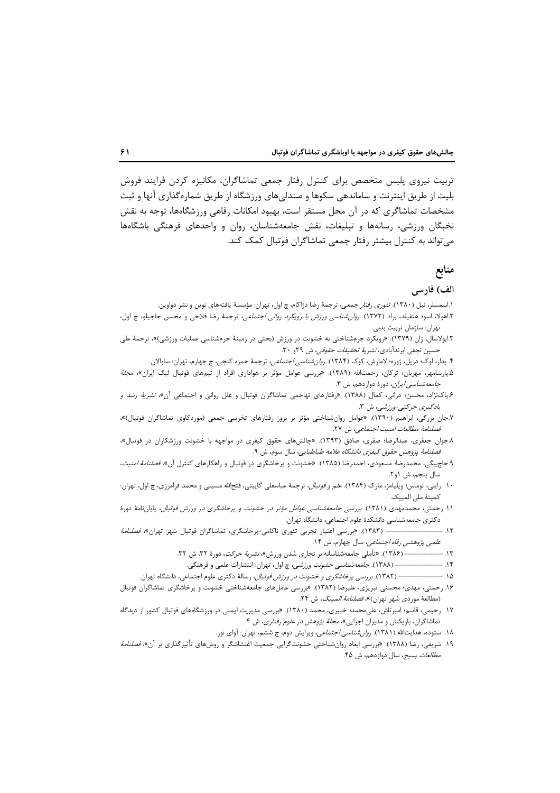تربیت نیروی پلیس متخصص برای کنترل رفتار جمعی تماشاگران، مکانیزه کردن فرایند فروش بلیت از طریق اینترنت و ساماندهی سکوها و صندلیهای ورزشگاه از طریق شمارهگذاری آنها و ثبت مشخصات تماشاگری که در آن محل مستقر است، بهبود امکانات رفاهی ورزشگاهها، توجه به نقش نخبگان ورزشی، رسانهها و تبلیغات، نقش جامعهشناسان، روان و واحدهای فرهنگی باشگاهها میتواند به کنترل بیشتر رفتار جمعی تماشاگران فوتبال کمک کند.

#### منابع

#### الف) فارسى

- ۱.اسمسلر، نیل (۱۳۸۰). *تئوری رفتار جمعی،* ترجمهٔ رضا دژاکام، چ اول، تهران: مؤسسهٔ یافتههای نوین و نشر دواوین.
- ۲.اهولا، اسو؛ هتفیلد، براد (۱۳۷۲). ر*وان شناسی ورزش با رویکرد روانی اجتماعی*، ترجمهٔ رضا فلاحی و محسن حاجیلو، چ اول، تهران: سازمان تربيت بدني.
- ۳.ایولاسال، ژان (۱۳۷۹). «رویکرد جرمشناختی به خشونت در ورزش (بحثی در زمینهٔ جرمشناسی عملیات ورزشی)»، ترجمهٔ علی حسین نجفی ابرندآبادی، *نشریهٔ تحقیقات حقوقی*، ش ۲۹و ۳۰.
	- ۴. بدار، لوک؛ دزیل، ژوزه؛ لامارش، کوک (۱۳۸۴). *روانشناسی اجتماعی*، ترجمهٔ حمزه کنجی، چ چهارم، تهران: ساوالان.
- ۵.پارسامهر، مهربان؛ ترکان، رحمتالله (۱۳۸۹). «بررسی عوامل مؤثر بر هواداری افراد از تیمهای فوتبال لیگ ایران»، *مجلهٔ* جامعه *شناسی ایران،* دورهٔ دوازدهم، ش ۳.
- ۶.پاکنژاد، محسن؛ درانی، کمال (۱۳۸۸). «رفتارهای تهاجمی تماشاگران فوتبال و علل روانی و اجتماعی آن»، *نشریهٔ رشد و* يادگيري حركتي-ورزشي، ش ٣.
- ۷.جان بزرگی، ابراهیم (۱۳۹۰). «عوامل روانشناختی مؤثر بر بروز رفتارهای تخریبی جمعی (موردکاوی تماشاگران فوتبال)»، فصلنامة مطالعات امنيت اجتماعي، ش ٢٧.
- ۸.جوان جعفری، عبدالرضا؛ صفری، صادق (۱۳۹۳). «چالشهای حقوق کیفری در مواجهه با خشونت ورزشکاران در فوتبال»، فصلنامهٔ پژوهش حقوق کیفری دانشگاه علامه طباطبایی، سال سوم، ش ۹.
- ۹.حاج بیگی، محمدرضا؛ مسعودی، احمدرضا (۱۳۸۵). «خشونت و پرخاشگری در فوتبال و راهکارهای کنترل آن»، *فصلنامهٔ امنیت*، سال پنجم، ش ۱و۲.
- ۱۰. رایلی، توماس؛ ویلیامز، مارک (۱۳۸۴). *علم و فوتبال*، ترجمهٔ عباسعلی گایینی، فتحالله مسیبی و محمد فرامرزی، چ اول، تهران: كميتة ملى المپيک.
- ۰۱۱ رحمتی، محمدمهدی (۱۳۸۱). برر*سی جامعهشناسی عوامل مؤثر در خشونت و پرخاشگری در ورزش فوتبال*، پایاننامهٔ دورهٔ دکتری جامعهشناسی دانشکدهٔ علوم اجتماعی، دانشگاه تهران.
- ۱۲. --------------------- (۱۳۸۳). «بررسی اعتبار تجربی تئوری ناکامی-پرخاشگری، تماشاگران فوتبال شهر تهران»، *فصلنامهٔ* علمی پژوهشی رفاه اجتماعی، سال چهارم، ش ١۴.
	- ۱۳. ------------- (۱۳۸۶). «تأملي جامعهشناسانه بر تجاري شدن ورزش»، *نشريهٔ حرکت*، دورهٔ ۳۲، ش ۳۲.
	- ۱۴. ----------------- (۱۳۸۸). *جامعهشناسی خشونت ورزشی*، چ اول، تهران: انتشارات علمی و فرهنگی.
	- ۱۵. ---------------- (۱۳۸۲). *بررسی پرخاشگری و خشونت در ورزش فوتبال*، رسالهٔ دکتری علوم اجتماعی، دانشگاه تهران.
- ۱۶. رحمتی، مهدی؛ محسنی تبریزی، علیرضا (۱۳۸۲). «بررسی عاملهای جامعهشناختی خشونت و پرخاشگری تماشاگران فوتبال (مطالعهٔ موردي شهر تهران)»، *فصلنامهٔ المپيک*، ش ۲۴.
- ١٧. رحيمي، قاسم؛ اميرتاش، علىمحمد؛ خبيري، محمد (١٣٨٠). «بررسي مديريت ايمني در ورزشگاههاي فوتبال كشور از ديدگاه تماشاگران، بازیکنان و مدیران اجرایی»، *مجلهٔ پژوهش در علوم رفتاری*، ش ۴.
	- ۱۸. ستوده، هدایتالله (۱۳۸۱). *روانشناسی اجتماعی*، ویرایش دوم، چ ششم، تهران: آوای نور.
- ۱۹. شریفی، رضا (۱۳۸۸). «بررسی ابعاد روانشناختی خشونتگرایی جمعیت اغتشاشگر و روشهای تأثیرگذاری بر آن»، *فصلنامهٔ* م*طالعات بسيج*، سال دوازدهم، ش ۴۵.